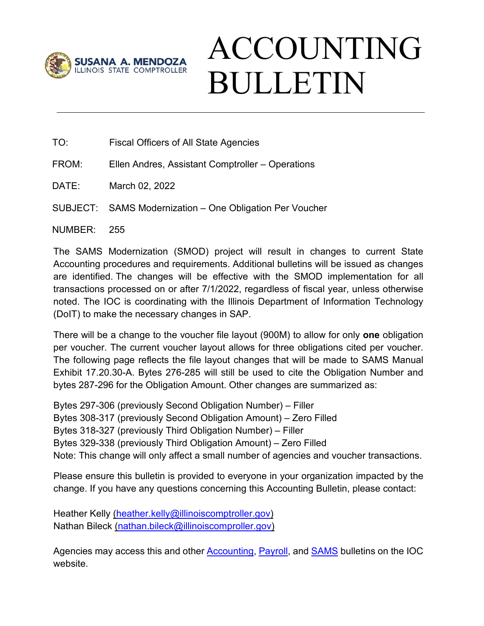

## ACCOUNTING BULLETIN

TO: Fiscal Officers of All State Agencies

FROM: Ellen Andres, Assistant Comptroller – Operations

DATE: March 02, 2022

SUBJECT: SAMS Modernization – One Obligation Per Voucher

NUMBER: 255

The SAMS Modernization (SMOD) project will result in changes to current State Accounting procedures and requirements. Additional bulletins will be issued as changes are identified. The changes will be effective with the SMOD implementation for all transactions processed on or after 7/1/2022, regardless of fiscal year, unless otherwise noted. The IOC is coordinating with the Illinois Department of Information Technology (DoIT) to make the necessary changes in SAP.

There will be a change to the voucher file layout (900M) to allow for only **one** obligation per voucher. The current voucher layout allows for three obligations cited per voucher. The following page reflects the file layout changes that will be made to SAMS Manual Exhibit 17.20.30-A. Bytes 276-285 will still be used to cite the Obligation Number and bytes 287-296 for the Obligation Amount. Other changes are summarized as:

Bytes 297-306 (previously Second Obligation Number) – Filler Bytes 308-317 (previously Second Obligation Amount) – Zero Filled Bytes 318-327 (previously Third Obligation Number) – Filler Bytes 329-338 (previously Third Obligation Amount) – Zero Filled Note: This change will only affect a small number of agencies and voucher transactions.

Please ensure this bulletin is provided to everyone in your organization impacted by the change. If you have any questions concerning this Accounting Bulletin, please contact:

Heather Kelly [\(heather.kelly@illinoiscomptroller.gov\)](mailto:heather.kelly@illinoiscomptroller.gov) Nathan Bileck [\(nathan.bileck@illinoiscomproller.gov\)](mailto:nathan.bileck@illinoiscomproller.gov)

Agencies may access this and other **Accounting, Payroll**, and **SAMS** bulletins on the IOC website.